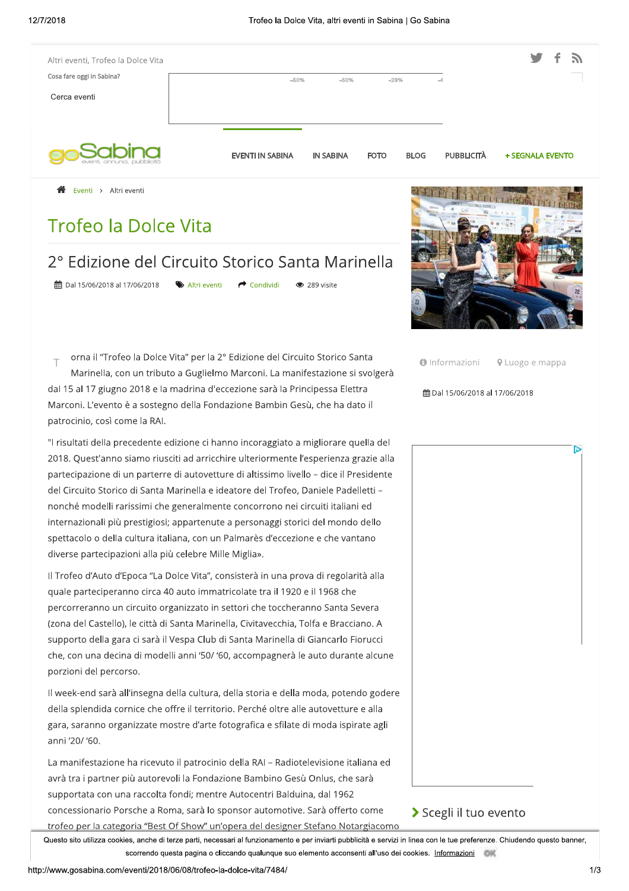| Altri eventi, Trofeo la Dolce Vita                                                 |                                         |                  |             |             |                   | 5.               |
|------------------------------------------------------------------------------------|-----------------------------------------|------------------|-------------|-------------|-------------------|------------------|
| Cosa fare oggi in Sabina?<br>Cerca eventi                                          | $-50%$                                  | $-50%$           | $-29%$      |             |                   |                  |
|                                                                                    | <b>EVENTI IN SABINA</b>                 | <b>IN SABINA</b> | <b>FOTO</b> | <b>BLOG</b> | <b>PUBBLICITÀ</b> | + SEGNALA EVENTO |
| ∧<br>Eventi > Altri eventi                                                         |                                         |                  |             |             |                   |                  |
| <b>Trofeo la Dolce Vita</b>                                                        |                                         |                  |             |             |                   |                  |
| 2º Edizione del Circuito Storico Santa Marinella<br>曲 Dal 15/06/2018 al 17/06/2018 | Altri eventi<br>$\rightarrow$ Condividi | ● 289 visite     |             |             |                   |                  |

1 orna il "Trofeo la Dolce Vita" per la 2º Edizione del Circuito Storico Santa Marinella, con un tributo a Guglielmo Marconi. La manifestazione si svolgerà dal 15 al 17 giugno 2018 e la madrina d'eccezione sarà la Principessa Elettra

 $\top$  orna il "Trofeo la Dolce Vita" per la 2º Edizione del Circuito Storico Santa<br>Marinella, con un tributo a Guglielmo Marconi. La manifestazione si svolgerà<br>dal 15 al 17 giugno 2018 e la madrina d'eccezione sarà la Prin internazionali più prestigiosi; appartenute a personaggi storici del mondo dello spettacolo o della cultura italiana, con un Palmarès d'eccezione e che vantano

del Circuito Storico di Santa Marinella e ideatore del Troteo, Daniele Padelletti –<br>nonché modelli rarissimi che generalmente concorrono nei circuiti italiani ed<br>internazionali più prestigiosi; apparentue a personaggi stor

gara, saranno organizzate mostre d'arte fotografica e sfilate di moda ispirate agli

Il week-end sarà all'insegna della cultura, della storia e della moda, potendo godere<br>della splendida cornice che offre il territorio. Perché oltre alle autovetture e alla<br>gara, saranno organizzate mostre d'arte fotografic



 $\bigcirc$  Informazioni  $\bigcirc$  Luogo e mappa

ħ

 $#$ **Dal 15/06/2018 al 17/06/2018** 

## Scegli il tuo evento

Questo sito utilizza cookies, anche di terze parti, necessari al funzionamento e per inviarti pubblicità e servizi in linea con le tue preferenze. Uniudendo questo banner es, anche di terze parti, necessari ai funzionamento e per inviarti pubblicita e servizi in linea con le tue preferenze. Chiudendo questo banner,<br>scorrendo questa pagina o cliccando qualunque suo elemento acconsenti all'us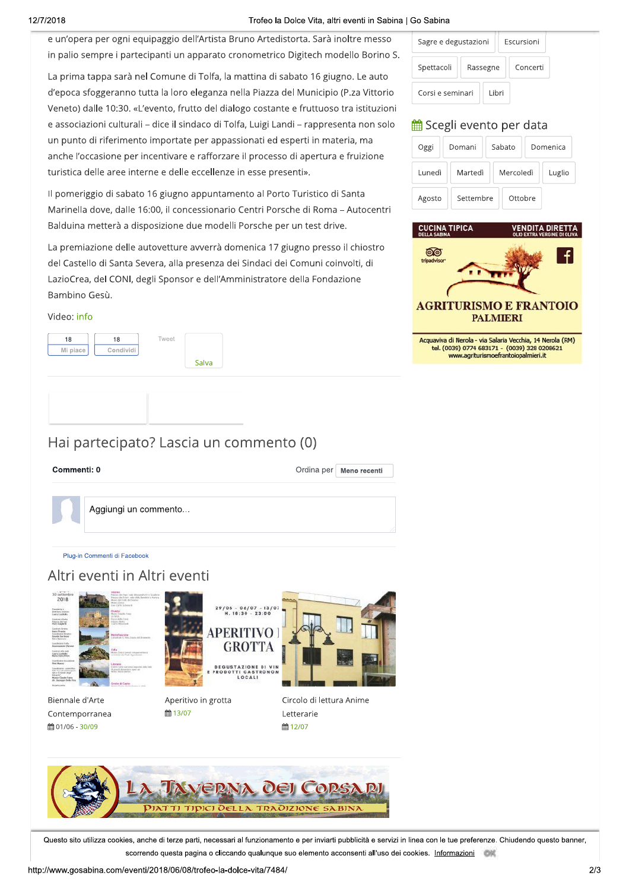### ZUT8 Troted o la Dolce Vita, altri eventi in Sabina | Go Sabina

**Example 19 and 19 and 19 and 19 and 19 and 19 and 19 and 19 and 19 and 19 and 19 and 19 and 19 and 19 and 19 and 19 and 19 and 19 and 19 and 19 and 19 and 19 and 19 and 19 and 19 and 19 and 19 and 19 and 19 and 19 and 19** anche l'occasione per incentivare e rafforzare il processo di apertura e fruizione Veneto) dalle 10:30. «L'evento, frutto del dialogo costante e fruttuoso tra istituzioni<br>
e associazioni culturali – dice il sindaco di Tolfa, Luigi Landi – rappresenta non solo<br>
un punto di riferimento importate per appass



## Hai partecipato? Lascia un commento (0)

| Sagre e degustazioni |          |        | <b>Fscursioni</b> |  |
|----------------------|----------|--------|-------------------|--|
| Spettacoli           | Rassegne |        | Concerti          |  |
| Corsi e seminari     |          | I ihri |                   |  |

| Vita, altri eventi in Sabina   Go Sabina |                                          |           |            |          |
|------------------------------------------|------------------------------------------|-----------|------------|----------|
| . Sarà inoltre messo                     | Sagre e degustazioni                     |           | Escursioni |          |
| ech modello Borino S.                    |                                          |           |            |          |
| › 16 giugno. Le auto                     | Spettacoli                               | Rassegne  | Concerti   |          |
| unicipio (P.za Vittorio                  | Corsi e seminari                         | Libri     |            |          |
| uttuoso tra istituzioni                  |                                          |           |            |          |
| appresenta non solo <sup>.</sup>         | <b>的 Scegli evento per data</b>          |           |            |          |
| ii in materia, ma                        | Oggi                                     | Domani    | Sabato     | Domenica |
| pertura e fruizione                      |                                          |           |            |          |
| ١.                                       | Lunedì                                   | Martedì   | Mercoledì  | Luglio   |
| istico di Santa                          | Agosto                                   | Settembre | Ottobre    |          |
| li Roma – Autocentri                     |                                          |           |            |          |
| test drive.                              | <b>CUCINA TIPICA</b>                     |           |            |          |
| o presso il chiostro                     | DELLA SABINA<br>tripadvisor <sup>.</sup> |           |            |          |
| านทi coinvolti, di                       |                                          |           |            |          |



www.agriturismoefrantoiopalmieri.it

# Commenti: 0

Ordina per Meno recenti

| Aggiungi un commento |  |  |
|----------------------|--|--|
|                      |  |  |

### Plug-in Commenti di Facebook



Contemporranea



Questo sito utilizza cookies, anche di terze parti, necessari al funzionamento e per inviarti pubblicità e servizi in linea con le tue preferenze. Uniudendo questo banner es, anche di terze parti, necessari ai funzionamento e per inviarti pubblicita e servizi in linea con le tue preferenze. Chiudendo questo banner,<br>scorrendo questa pagina o cliccando qualunque suo elemento acconsenti all'us